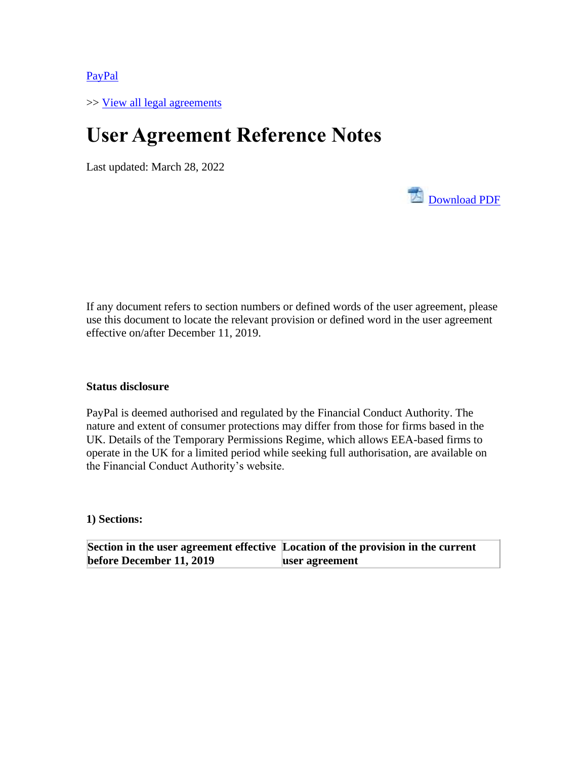[PayPal](https://www.paypal.com/uk/webapps/mpp/home?locale.x=en_GB)

>> View all [legal agreements](https://www.paypal.com/uk/webapps/mpp/ua/legalhub-full?locale.x=en_GB)

## **User Agreement Reference Notes**

Last updated: March 28, 2022



[Download PDF](https://www.paypalobjects.com/marketing/ua/pdf/GB/en/reference-notes-full.pdf#_blank)

## **Status disclosure**

PayPal is deemed authorised and regulated by the Financial Conduct Authority. The nature and extent of consumer protections may differ from those for firms based in the UK. Details of the Temporary Permissions Regime, which allows EEA-based firms to operate in the UK for a limited period while seeking full authorisation, are available on the Financial Conduct Authority's website.

**1) Sections:**

**Section in the user agreement effective Location of the provision in the current before December 11, 2019 user agreement**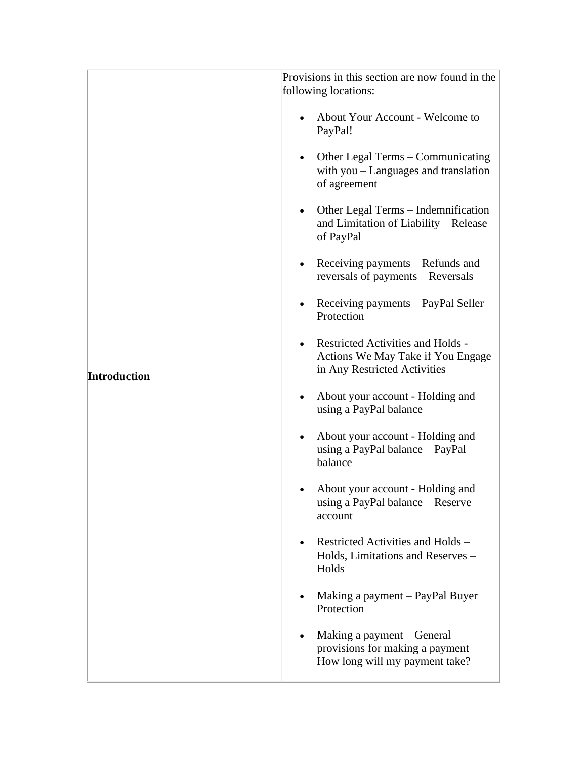|                     | Provisions in this section are now found in the<br>following locations:                                       |
|---------------------|---------------------------------------------------------------------------------------------------------------|
|                     | About Your Account - Welcome to<br>PayPal!                                                                    |
|                     | Other Legal Terms – Communicating<br>with $you$ – Languages and translation<br>of agreement                   |
|                     | • Other Legal Terms – Indemnification<br>and Limitation of Liability - Release<br>of PayPal                   |
|                     | Receiving payments – Refunds and<br>$\bullet$<br>reversals of payments - Reversals                            |
|                     | Receiving payments - PayPal Seller<br>Protection                                                              |
| <b>Introduction</b> | <b>Restricted Activities and Holds -</b><br>Actions We May Take if You Engage<br>in Any Restricted Activities |
|                     | About your account - Holding and<br>using a PayPal balance                                                    |
|                     | About your account - Holding and<br>using a PayPal balance - PayPal<br>balance                                |
|                     | About your account - Holding and<br>using a PayPal balance - Reserve<br>account                               |
|                     | Restricted Activities and Holds -<br>Holds, Limitations and Reserves -<br>Holds                               |
|                     | Making a payment – PayPal Buyer<br>Protection                                                                 |
|                     | Making a payment – General<br>provisions for making a payment –<br>How long will my payment take?             |
|                     |                                                                                                               |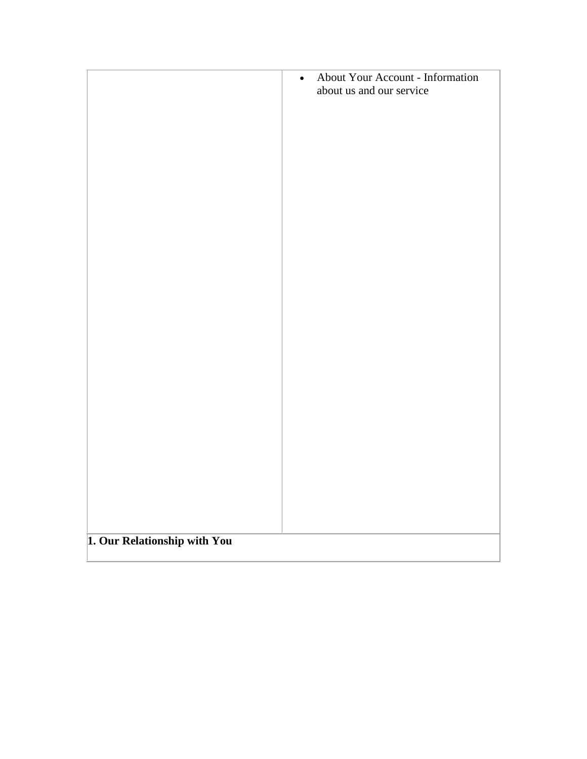|                              | About Your Account - Information<br>$\bullet$<br>about us and our service |
|------------------------------|---------------------------------------------------------------------------|
|                              |                                                                           |
|                              |                                                                           |
|                              |                                                                           |
|                              |                                                                           |
|                              |                                                                           |
|                              |                                                                           |
|                              |                                                                           |
|                              |                                                                           |
|                              |                                                                           |
|                              |                                                                           |
|                              |                                                                           |
| 1. Our Relationship with You |                                                                           |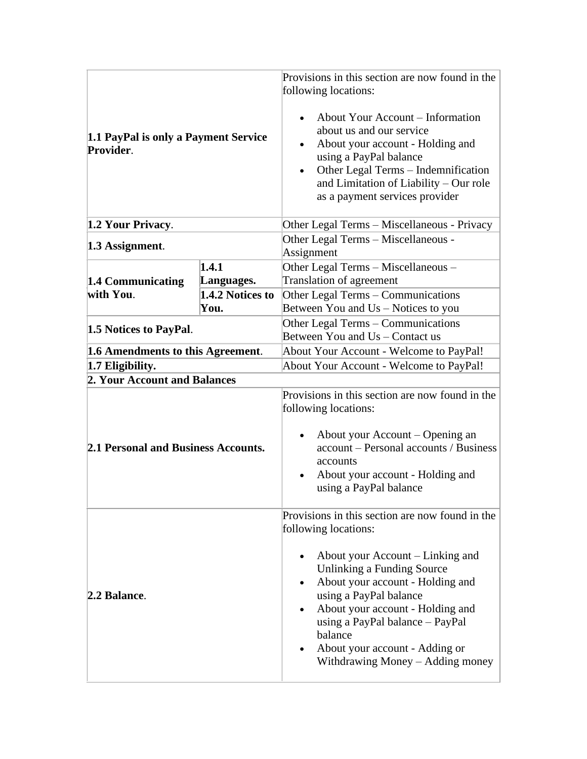| 1.1 PayPal is only a Payment Service<br>Provider.     |                  | Provisions in this section are now found in the<br>following locations:<br>About Your Account - Information<br>about us and our service<br>About your account - Holding and<br>using a PayPal balance<br>Other Legal Terms - Indemnification<br>and Limitation of Liability - Our role<br>as a payment services provider                                        |
|-------------------------------------------------------|------------------|-----------------------------------------------------------------------------------------------------------------------------------------------------------------------------------------------------------------------------------------------------------------------------------------------------------------------------------------------------------------|
| 1.2 Your Privacy.                                     |                  | Other Legal Terms - Miscellaneous - Privacy                                                                                                                                                                                                                                                                                                                     |
| 1.3 Assignment.                                       |                  | Other Legal Terms - Miscellaneous -<br>Assignment                                                                                                                                                                                                                                                                                                               |
|                                                       | 1.4.1            | Other Legal Terms - Miscellaneous -                                                                                                                                                                                                                                                                                                                             |
| 1.4 Communicating                                     | Languages.       | Translation of agreement                                                                                                                                                                                                                                                                                                                                        |
| with You.                                             | 1.4.2 Notices to | Other Legal Terms – Communications                                                                                                                                                                                                                                                                                                                              |
|                                                       | You.             | Between You and Us – Notices to you                                                                                                                                                                                                                                                                                                                             |
| 1.5 Notices to PayPal.                                |                  | Other Legal Terms – Communications<br>Between You and Us – Contact us                                                                                                                                                                                                                                                                                           |
|                                                       |                  | About Your Account - Welcome to PayPal!                                                                                                                                                                                                                                                                                                                         |
| 1.6 Amendments to this Agreement.<br>1.7 Eligibility. |                  | About Your Account - Welcome to PayPal!                                                                                                                                                                                                                                                                                                                         |
| 2. Your Account and Balances                          |                  |                                                                                                                                                                                                                                                                                                                                                                 |
| <b>2.1 Personal and Business Accounts.</b>            |                  | Provisions in this section are now found in the<br>following locations:<br>About your Account - Opening an<br>account – Personal accounts / Business<br>accounts<br>About your account - Holding and<br>using a PayPal balance                                                                                                                                  |
| 2.2 Balance.                                          |                  | Provisions in this section are now found in the<br>following locations:<br>About your Account – Linking and<br>Unlinking a Funding Source<br>About your account - Holding and<br>using a PayPal balance<br>About your account - Holding and<br>using a PayPal balance - PayPal<br>balance<br>About your account - Adding or<br>Withdrawing Money - Adding money |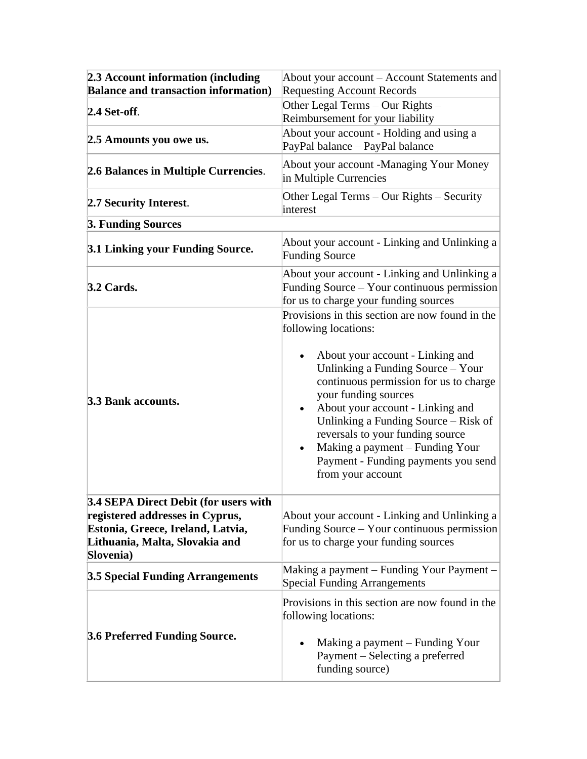| 2.3 Account information (including<br><b>Balance and transaction information)</b>                                                                            | About your account – Account Statements and<br><b>Requesting Account Records</b>                                                                                                                                                                                                                                                                                                                                                  |
|--------------------------------------------------------------------------------------------------------------------------------------------------------------|-----------------------------------------------------------------------------------------------------------------------------------------------------------------------------------------------------------------------------------------------------------------------------------------------------------------------------------------------------------------------------------------------------------------------------------|
| 2.4 Set-off.                                                                                                                                                 | Other Legal Terms - Our Rights -<br>Reimbursement for your liability                                                                                                                                                                                                                                                                                                                                                              |
| 2.5 Amounts you owe us.                                                                                                                                      | About your account - Holding and using a<br>PayPal balance - PayPal balance                                                                                                                                                                                                                                                                                                                                                       |
| 2.6 Balances in Multiple Currencies.                                                                                                                         | About your account -Managing Your Money<br>in Multiple Currencies                                                                                                                                                                                                                                                                                                                                                                 |
| 2.7 Security Interest.                                                                                                                                       | Other Legal Terms - Our Rights - Security<br>interest                                                                                                                                                                                                                                                                                                                                                                             |
| 3. Funding Sources                                                                                                                                           |                                                                                                                                                                                                                                                                                                                                                                                                                                   |
| 3.1 Linking your Funding Source.                                                                                                                             | About your account - Linking and Unlinking a<br><b>Funding Source</b>                                                                                                                                                                                                                                                                                                                                                             |
| $3.2$ Cards.                                                                                                                                                 | About your account - Linking and Unlinking a<br>Funding Source – Your continuous permission<br>for us to charge your funding sources                                                                                                                                                                                                                                                                                              |
| 3.3 Bank accounts.                                                                                                                                           | Provisions in this section are now found in the<br>following locations:<br>About your account - Linking and<br>Unlinking a Funding Source - Your<br>continuous permission for us to charge<br>your funding sources<br>About your account - Linking and<br>Unlinking a Funding Source - Risk of<br>reversals to your funding source<br>Making a payment - Funding Your<br>Payment - Funding payments you send<br>from your account |
| 3.4 SEPA Direct Debit (for users with<br>registered addresses in Cyprus,<br>Estonia, Greece, Ireland, Latvia,<br>Lithuania, Malta, Slovakia and<br>Slovenia) | About your account - Linking and Unlinking a<br>Funding Source – Your continuous permission<br>for us to charge your funding sources                                                                                                                                                                                                                                                                                              |
| <b>3.5 Special Funding Arrangements</b>                                                                                                                      | Making a payment – Funding Your Payment -<br><b>Special Funding Arrangements</b>                                                                                                                                                                                                                                                                                                                                                  |
| 3.6 Preferred Funding Source.                                                                                                                                | Provisions in this section are now found in the<br>following locations:<br>Making a payment – Funding Your<br>Payment – Selecting a preferred<br>funding source)                                                                                                                                                                                                                                                                  |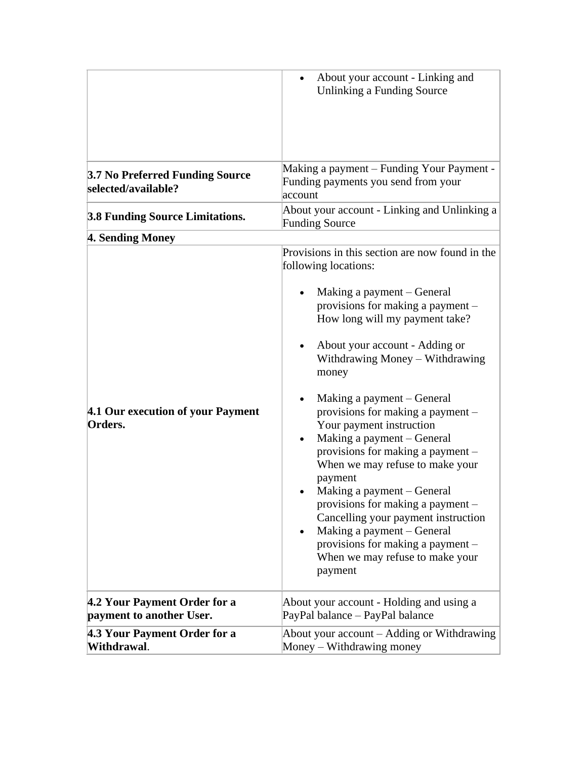|                                                          | About your account - Linking and<br>Unlinking a Funding Source                                                                                                                                                                                                                                                                                                                                                                                                                                                                                                                                                                                                                                        |
|----------------------------------------------------------|-------------------------------------------------------------------------------------------------------------------------------------------------------------------------------------------------------------------------------------------------------------------------------------------------------------------------------------------------------------------------------------------------------------------------------------------------------------------------------------------------------------------------------------------------------------------------------------------------------------------------------------------------------------------------------------------------------|
| 3.7 No Preferred Funding Source<br>selected/available?   | Making a payment – Funding Your Payment -<br>Funding payments you send from your<br>account                                                                                                                                                                                                                                                                                                                                                                                                                                                                                                                                                                                                           |
| <b>3.8 Funding Source Limitations.</b>                   | About your account - Linking and Unlinking a<br><b>Funding Source</b>                                                                                                                                                                                                                                                                                                                                                                                                                                                                                                                                                                                                                                 |
| 4. Sending Money                                         |                                                                                                                                                                                                                                                                                                                                                                                                                                                                                                                                                                                                                                                                                                       |
| 4.1 Our execution of your Payment<br>Orders.             | Provisions in this section are now found in the<br>following locations:<br>Making a payment – General<br>provisions for making a payment -<br>How long will my payment take?<br>About your account - Adding or<br>Withdrawing Money - Withdrawing<br>money<br>Making a payment – General<br>provisions for making a payment -<br>Your payment instruction<br>Making a payment - General<br>provisions for making a payment –<br>When we may refuse to make your<br>payment<br>Making a payment – General<br>provisions for making a payment -<br>Cancelling your payment instruction<br>Making a payment - General<br>provisions for making a payment -<br>When we may refuse to make your<br>payment |
| 4.2 Your Payment Order for a<br>payment to another User. | About your account - Holding and using a<br>PayPal balance - PayPal balance                                                                                                                                                                                                                                                                                                                                                                                                                                                                                                                                                                                                                           |
| 4.3 Your Payment Order for a<br>Withdrawal.              | About your account – Adding or Withdrawing<br>Money – Withdrawing money                                                                                                                                                                                                                                                                                                                                                                                                                                                                                                                                                                                                                               |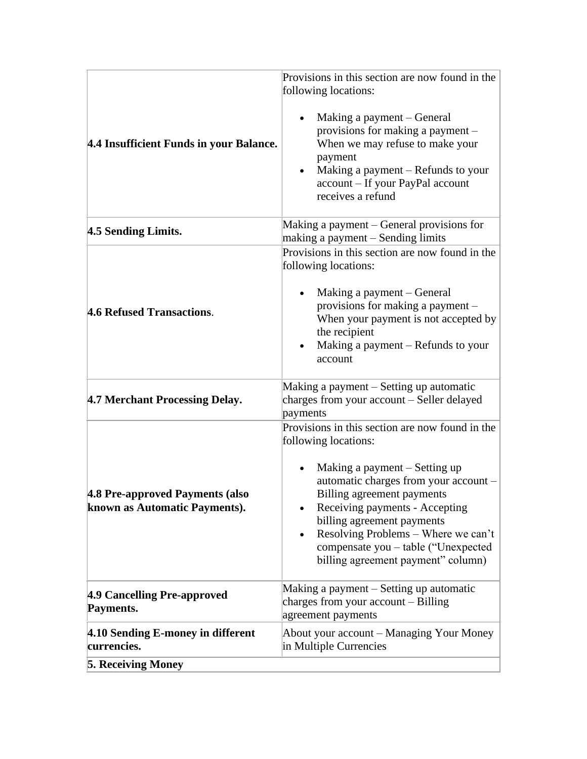|                                                                  | Provisions in this section are now found in the<br>following locations:                                                                                                                                                                                                                                                                                             |
|------------------------------------------------------------------|---------------------------------------------------------------------------------------------------------------------------------------------------------------------------------------------------------------------------------------------------------------------------------------------------------------------------------------------------------------------|
| 4.4 Insufficient Funds in your Balance.                          | Making a payment – General<br>provisions for making a payment –<br>When we may refuse to make your<br>payment<br>Making a payment – Refunds to your<br>account - If your PayPal account<br>receives a refund                                                                                                                                                        |
| 4.5 Sending Limits.                                              | Making a payment – General provisions for<br>making a payment - Sending limits                                                                                                                                                                                                                                                                                      |
| 4.6 Refused Transactions.                                        | Provisions in this section are now found in the<br>following locations:<br>Making a payment – General<br>provisions for making a payment -<br>When your payment is not accepted by<br>the recipient<br>Making a payment – Refunds to your<br>account                                                                                                                |
| 4.7 Merchant Processing Delay.                                   | Making a payment – Setting up automatic<br>charges from your account – Seller delayed<br>payments                                                                                                                                                                                                                                                                   |
| 4.8 Pre-approved Payments (also<br>known as Automatic Payments). | Provisions in this section are now found in the<br>following locations:<br>Making a payment – Setting up<br>automatic charges from your account -<br>Billing agreement payments<br>Receiving payments - Accepting<br>billing agreement payments<br>Resolving Problems – Where we can't<br>compensate you - table ("Unexpected<br>billing agreement payment" column) |
| 4.9 Cancelling Pre-approved<br>Payments.                         | Making a payment – Setting up automatic<br>charges from your $account - Billing$<br>agreement payments                                                                                                                                                                                                                                                              |
| 4.10 Sending E-money in different<br>currencies.                 | About your account - Managing Your Money<br>in Multiple Currencies                                                                                                                                                                                                                                                                                                  |
| <b>5. Receiving Money</b>                                        |                                                                                                                                                                                                                                                                                                                                                                     |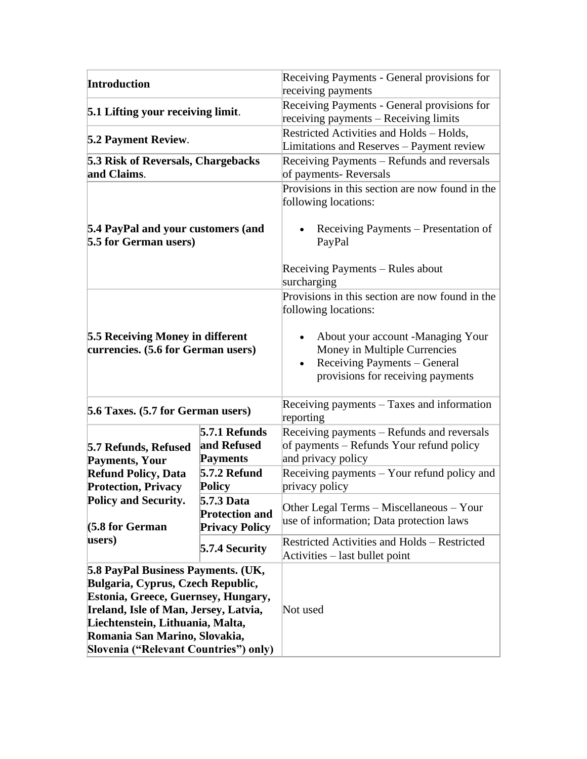| <b>Introduction</b>                                                                                                                                                                                                                                                   |                                                              | Receiving Payments - General provisions for<br>receiving payments                                                                      |
|-----------------------------------------------------------------------------------------------------------------------------------------------------------------------------------------------------------------------------------------------------------------------|--------------------------------------------------------------|----------------------------------------------------------------------------------------------------------------------------------------|
| 5.1 Lifting your receiving limit.                                                                                                                                                                                                                                     |                                                              | Receiving Payments - General provisions for<br>receiving payments - Receiving limits                                                   |
| <b>5.2 Payment Review.</b>                                                                                                                                                                                                                                            |                                                              | Restricted Activities and Holds - Holds,<br>Limitations and Reserves - Payment review                                                  |
| <b>5.3 Risk of Reversals, Chargebacks</b><br>and Claims.                                                                                                                                                                                                              |                                                              | Receiving Payments – Refunds and reversals<br>of payments-Reversals                                                                    |
|                                                                                                                                                                                                                                                                       |                                                              | Provisions in this section are now found in the<br>following locations:                                                                |
| 5.4 PayPal and your customers (and<br>5.5 for German users)                                                                                                                                                                                                           |                                                              | Receiving Payments – Presentation of<br>PayPal                                                                                         |
|                                                                                                                                                                                                                                                                       |                                                              | Receiving Payments – Rules about<br>surcharging                                                                                        |
|                                                                                                                                                                                                                                                                       |                                                              | Provisions in this section are now found in the<br>following locations:                                                                |
| <b>5.5 Receiving Money in different</b><br>currencies. (5.6 for German users)                                                                                                                                                                                         |                                                              | About your account -Managing Your<br>Money in Multiple Currencies<br>Receiving Payments - General<br>provisions for receiving payments |
| 5.6 Taxes. (5.7 for German users)                                                                                                                                                                                                                                     |                                                              | Receiving payments – Taxes and information<br>reporting                                                                                |
| 5.7 Refunds, Refused<br><b>Payments, Your</b>                                                                                                                                                                                                                         | 5.7.1 Refunds<br>and Refused<br><b>Payments</b>              | Receiving payments – Refunds and reversals<br>of payments – Refunds Your refund policy<br>and privacy policy                           |
| <b>Refund Policy, Data</b><br><b>Protection, Privacy</b>                                                                                                                                                                                                              | <b>5.7.2 Refund</b><br><b>Policy</b>                         | Receiving payments - Your refund policy and<br>privacy policy                                                                          |
| <b>Policy and Security.</b><br>$(5.8$ for German                                                                                                                                                                                                                      | 5.7.3 Data<br><b>Protection and</b><br><b>Privacy Policy</b> | Other Legal Terms – Miscellaneous – Your<br>use of information; Data protection laws                                                   |
| users)                                                                                                                                                                                                                                                                | 5.7.4 Security                                               | <b>Restricted Activities and Holds - Restricted</b><br>Activities – last bullet point                                                  |
| 5.8 PayPal Business Payments. (UK,<br>Bulgaria, Cyprus, Czech Republic,<br>Estonia, Greece, Guernsey, Hungary,<br>Ireland, Isle of Man, Jersey, Latvia,<br>Liechtenstein, Lithuania, Malta,<br>Romania San Marino, Slovakia,<br>Slovenia ("Relevant Countries") only) |                                                              | Not used                                                                                                                               |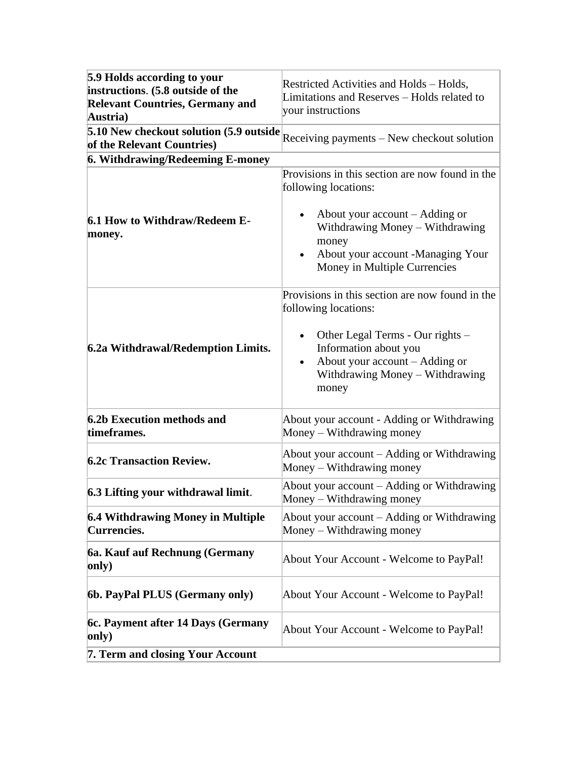| 5.9 Holds according to your<br>instructions. (5.8 outside of the<br><b>Relevant Countries, Germany and</b><br>Austria) | Restricted Activities and Holds – Holds,<br>Limitations and Reserves - Holds related to<br>your instructions                                                                                                                 |
|------------------------------------------------------------------------------------------------------------------------|------------------------------------------------------------------------------------------------------------------------------------------------------------------------------------------------------------------------------|
| 5.10 New checkout solution (5.9 outside<br>of the Relevant Countries)                                                  | Receiving payments - New checkout solution                                                                                                                                                                                   |
| 6. Withdrawing/Redeeming E-money                                                                                       |                                                                                                                                                                                                                              |
| 6.1 How to Withdraw/Redeem E-<br>money.                                                                                | Provisions in this section are now found in the<br>following locations:<br>About your $account - Adding$ or<br>Withdrawing Money - Withdrawing<br>money<br>About your account -Managing Your<br>Money in Multiple Currencies |
| 6.2a Withdrawal/Redemption Limits.                                                                                     | Provisions in this section are now found in the<br>following locations:<br>Other Legal Terms - Our rights -<br>Information about you<br>About your $account - Adding$ or<br>Withdrawing Money – Withdrawing<br>money         |
| 6.2b Execution methods and<br>timeframes.                                                                              | About your account - Adding or Withdrawing<br>Money – Withdrawing money                                                                                                                                                      |
| <b>6.2c Transaction Review.</b>                                                                                        | About your account – Adding or Withdrawing<br>Money – Withdrawing money                                                                                                                                                      |
| 6.3 Lifting your withdrawal limit.                                                                                     | About your account – Adding or Withdrawing<br>Money – Withdrawing money                                                                                                                                                      |
| <b>6.4 Withdrawing Money in Multiple</b><br><b>Currencies.</b>                                                         | About your account – Adding or Withdrawing<br>Money – Withdrawing money                                                                                                                                                      |
| 6a. Kauf auf Rechnung (Germany<br>only)                                                                                | About Your Account - Welcome to PayPal!                                                                                                                                                                                      |
| 6b. PayPal PLUS (Germany only)                                                                                         | About Your Account - Welcome to PayPal!                                                                                                                                                                                      |
| 6c. Payment after 14 Days (Germany<br>only)                                                                            | About Your Account - Welcome to PayPal!                                                                                                                                                                                      |
| 7. Term and closing Your Account                                                                                       |                                                                                                                                                                                                                              |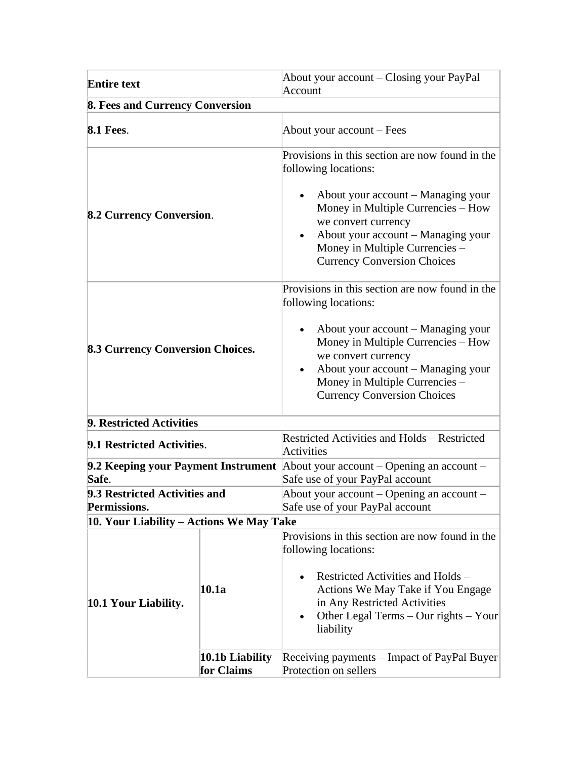| <b>Entire text</b>                            |                               | About your account – Closing your PayPal<br>Account                                                                                                                                                                                                                                                   |
|-----------------------------------------------|-------------------------------|-------------------------------------------------------------------------------------------------------------------------------------------------------------------------------------------------------------------------------------------------------------------------------------------------------|
| 8. Fees and Currency Conversion               |                               |                                                                                                                                                                                                                                                                                                       |
| <b>8.1 Fees.</b>                              |                               | About your account – Fees                                                                                                                                                                                                                                                                             |
| <b>8.2 Currency Conversion.</b>               |                               | Provisions in this section are now found in the<br>following locations:<br>About your account – Managing your<br>Money in Multiple Currencies - How<br>we convert currency<br>About your account – Managing your<br>Money in Multiple Currencies -<br><b>Currency Conversion Choices</b>              |
| <b>8.3 Currency Conversion Choices.</b>       |                               | Provisions in this section are now found in the<br>following locations:<br>About your account – Managing your<br>Money in Multiple Currencies - How<br>we convert currency<br>About your account – Managing your<br>$\bullet$<br>Money in Multiple Currencies -<br><b>Currency Conversion Choices</b> |
| 9. Restricted Activities                      |                               |                                                                                                                                                                                                                                                                                                       |
| 9.1 Restricted Activities.                    |                               | <b>Restricted Activities and Holds - Restricted</b><br>Activities                                                                                                                                                                                                                                     |
| 9.2 Keeping your Payment Instrument<br>Safe.  |                               | About your account – Opening an account –<br>Safe use of your PayPal account                                                                                                                                                                                                                          |
| 9.3 Restricted Activities and<br>Permissions. |                               | About your account – Opening an account –<br>Safe use of your PayPal account                                                                                                                                                                                                                          |
| 10. Your Liability - Actions We May Take      |                               |                                                                                                                                                                                                                                                                                                       |
| 10.1 Your Liability.                          | 10.1a                         | Provisions in this section are now found in the<br>following locations:<br>Restricted Activities and Holds –<br>Actions We May Take if You Engage<br>in Any Restricted Activities<br>Other Legal Terms – Our rights – Your<br>liability                                                               |
|                                               | 10.1b Liability<br>for Claims | Receiving payments – Impact of PayPal Buyer<br>Protection on sellers                                                                                                                                                                                                                                  |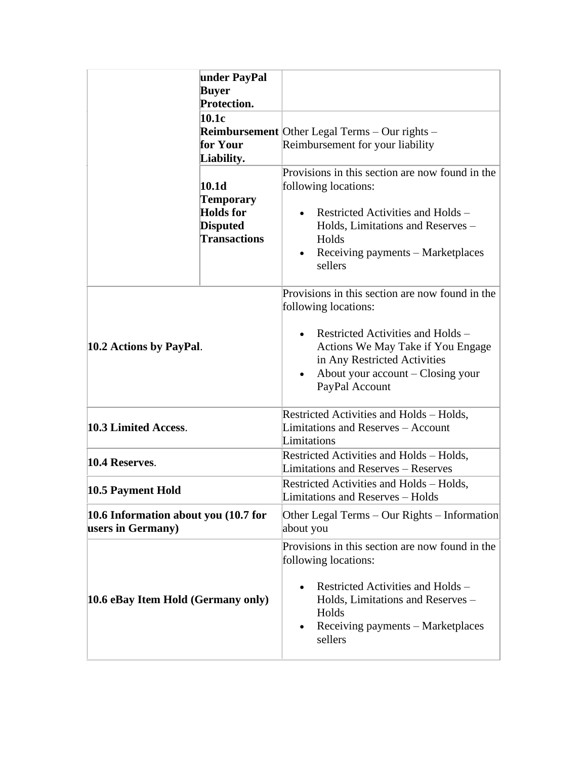|                                                           | under PayPal<br><b>Buyer</b><br><b>Protection.</b><br>10.1c<br>for Your<br>Liability.<br>10.1 <sub>d</sub><br>Temporary<br><b>Holds</b> for<br><b>Disputed</b><br><b>Transactions</b> | <b>Reimbursement</b> Other Legal Terms $-$ Our rights $-$<br>Reimbursement for your liability<br>Provisions in this section are now found in the<br>following locations:<br>Restricted Activities and Holds –<br>Holds, Limitations and Reserves -<br>Holds<br>Receiving payments – Marketplaces<br>sellers |
|-----------------------------------------------------------|---------------------------------------------------------------------------------------------------------------------------------------------------------------------------------------|-------------------------------------------------------------------------------------------------------------------------------------------------------------------------------------------------------------------------------------------------------------------------------------------------------------|
| 10.2 Actions by PayPal.                                   |                                                                                                                                                                                       | Provisions in this section are now found in the<br>following locations:<br>Restricted Activities and Holds -<br>Actions We May Take if You Engage<br>in Any Restricted Activities<br>About your account – Closing your<br>PayPal Account                                                                    |
| 10.3 Limited Access.                                      |                                                                                                                                                                                       | Restricted Activities and Holds - Holds,<br><b>Limitations and Reserves - Account</b><br>Limitations                                                                                                                                                                                                        |
| 10.4 Reserves.                                            |                                                                                                                                                                                       | Restricted Activities and Holds - Holds,<br>Limitations and Reserves - Reserves                                                                                                                                                                                                                             |
| 10.5 Payment Hold                                         |                                                                                                                                                                                       | Restricted Activities and Holds - Holds,<br>Limitations and Reserves - Holds                                                                                                                                                                                                                                |
| 10.6 Information about you (10.7 for<br>users in Germany) |                                                                                                                                                                                       | Other Legal Terms – Our Rights – Information<br>about you                                                                                                                                                                                                                                                   |
| 10.6 eBay Item Hold (Germany only)                        |                                                                                                                                                                                       | Provisions in this section are now found in the<br>following locations:<br>Restricted Activities and Holds –<br>Holds, Limitations and Reserves -<br>Holds<br>Receiving payments - Marketplaces<br>sellers                                                                                                  |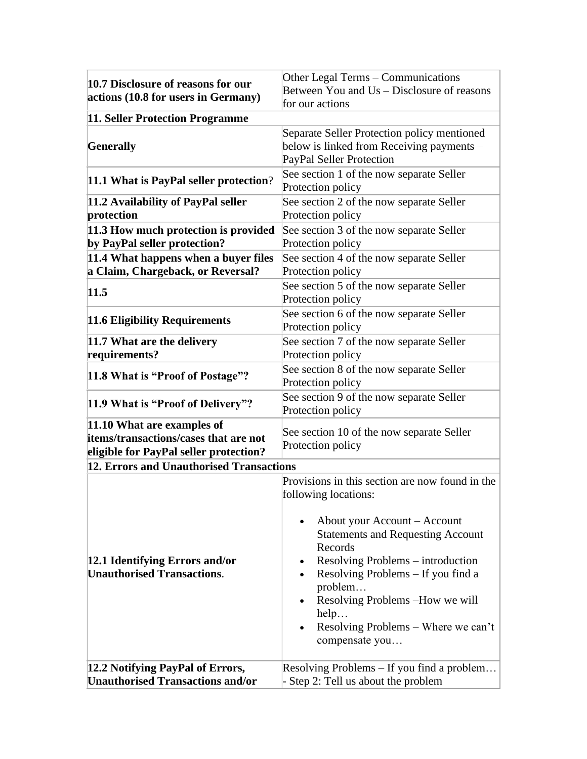| 10.7 Disclosure of reasons for our<br>actions (10.8 for users in Germany)                                     | Other Legal Terms – Communications<br>Between You and Us – Disclosure of reasons<br>for our actions                                                                                                                                                                                                     |
|---------------------------------------------------------------------------------------------------------------|---------------------------------------------------------------------------------------------------------------------------------------------------------------------------------------------------------------------------------------------------------------------------------------------------------|
| 11. Seller Protection Programme                                                                               |                                                                                                                                                                                                                                                                                                         |
| <b>Generally</b>                                                                                              | Separate Seller Protection policy mentioned<br>below is linked from Receiving payments -<br>PayPal Seller Protection                                                                                                                                                                                    |
| 11.1 What is PayPal seller protection?                                                                        | See section 1 of the now separate Seller<br>Protection policy                                                                                                                                                                                                                                           |
| 11.2 Availability of PayPal seller<br>protection                                                              | See section 2 of the now separate Seller<br>Protection policy                                                                                                                                                                                                                                           |
| 11.3 How much protection is provided<br>by PayPal seller protection?                                          | See section 3 of the now separate Seller<br>Protection policy                                                                                                                                                                                                                                           |
| 11.4 What happens when a buyer files<br>a Claim, Chargeback, or Reversal?                                     | See section 4 of the now separate Seller<br>Protection policy                                                                                                                                                                                                                                           |
| 11.5                                                                                                          | See section 5 of the now separate Seller<br>Protection policy                                                                                                                                                                                                                                           |
| 11.6 Eligibility Requirements                                                                                 | See section 6 of the now separate Seller<br>Protection policy                                                                                                                                                                                                                                           |
| 11.7 What are the delivery<br>requirements?                                                                   | See section 7 of the now separate Seller<br>Protection policy                                                                                                                                                                                                                                           |
| 11.8 What is "Proof of Postage"?                                                                              | See section 8 of the now separate Seller<br>Protection policy                                                                                                                                                                                                                                           |
| 11.9 What is "Proof of Delivery"?                                                                             | See section 9 of the now separate Seller<br>Protection policy                                                                                                                                                                                                                                           |
| 11.10 What are examples of<br>items/transactions/cases that are not<br>eligible for PayPal seller protection? | See section 10 of the now separate Seller<br>Protection policy                                                                                                                                                                                                                                          |
| 12. Errors and Unauthorised Transactions                                                                      |                                                                                                                                                                                                                                                                                                         |
|                                                                                                               | Provisions in this section are now found in the<br>following locations:                                                                                                                                                                                                                                 |
| 12.1 Identifying Errors and/or<br><b>Unauthorised Transactions.</b>                                           | About your Account - Account<br><b>Statements and Requesting Account</b><br>Records<br>Resolving Problems – introduction<br>$\bullet$<br>Resolving Problems – If you find a<br>$\bullet$<br>problem<br>Resolving Problems -How we will<br>help<br>Resolving Problems – Where we can't<br>compensate you |
| 12.2 Notifying PayPal of Errors,                                                                              | Resolving Problems – If you find a problem                                                                                                                                                                                                                                                              |
| <b>Unauthorised Transactions and/or</b>                                                                       | Step 2: Tell us about the problem                                                                                                                                                                                                                                                                       |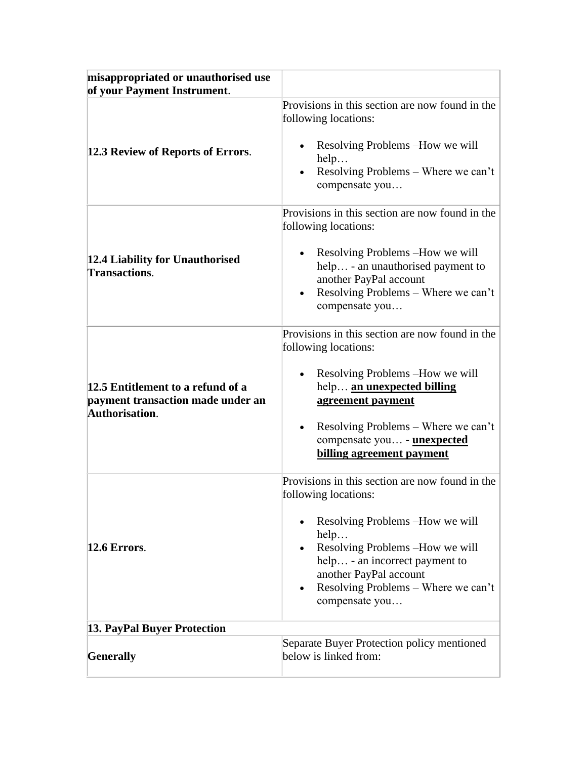| misappropriated or unauthorised use<br>of your Payment Instrument.                       |                                                                                                                                                                                                                                                                            |
|------------------------------------------------------------------------------------------|----------------------------------------------------------------------------------------------------------------------------------------------------------------------------------------------------------------------------------------------------------------------------|
| 12.3 Review of Reports of Errors.                                                        | Provisions in this section are now found in the<br>following locations:<br>Resolving Problems – How we will<br>help<br>Resolving Problems – Where we can't<br>compensate you                                                                                               |
| 12.4 Liability for Unauthorised<br><b>Transactions.</b>                                  | Provisions in this section are now found in the<br>following locations:<br>Resolving Problems -How we will<br>help - an unauthorised payment to<br>another PayPal account<br>Resolving Problems – Where we can't<br>compensate you                                         |
| 12.5 Entitlement to a refund of a<br>payment transaction made under an<br>Authorisation. | Provisions in this section are now found in the<br>following locations:<br>Resolving Problems – How we will<br>help an unexpected billing<br>agreement payment<br>Resolving Problems - Where we can't<br>compensate you - <b>unexpected</b><br>billing agreement payment   |
| $12.6$ Errors.                                                                           | Provisions in this section are now found in the<br>following locations:<br>Resolving Problems -How we will<br>help<br>Resolving Problems -How we will<br>help - an incorrect payment to<br>another PayPal account<br>Resolving Problems – Where we can't<br>compensate you |
| 13. PayPal Buyer Protection                                                              |                                                                                                                                                                                                                                                                            |
| Generally                                                                                | Separate Buyer Protection policy mentioned<br>below is linked from:                                                                                                                                                                                                        |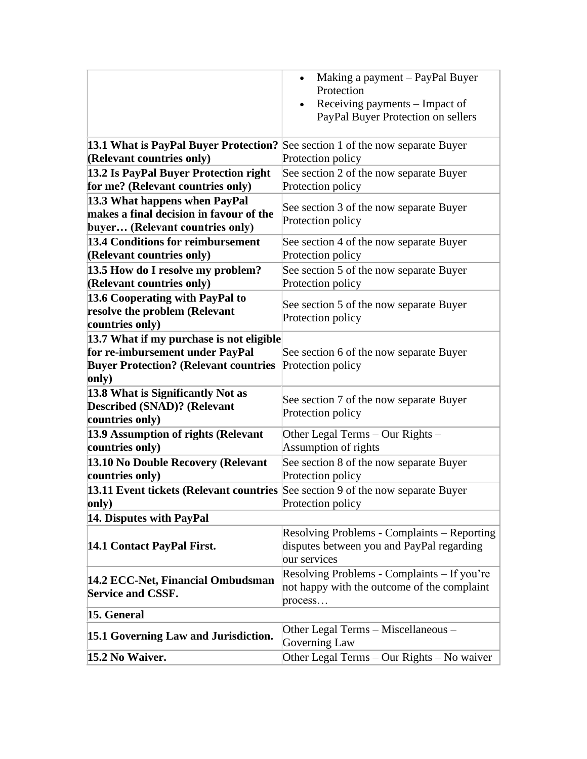|                                                                                                                                      | Making a payment - PayPal Buyer<br>$\bullet$<br>Protection<br>Receiving payments - Impact of<br>PayPal Buyer Protection on sellers |
|--------------------------------------------------------------------------------------------------------------------------------------|------------------------------------------------------------------------------------------------------------------------------------|
| 13.1 What is PayPal Buyer Protection?                                                                                                | See section 1 of the now separate Buyer                                                                                            |
| (Relevant countries only)                                                                                                            | Protection policy                                                                                                                  |
| 13.2 Is PayPal Buyer Protection right<br>for me? (Relevant countries only)                                                           | See section 2 of the now separate Buyer<br>Protection policy                                                                       |
| 13.3 What happens when PayPal<br>makes a final decision in favour of the<br>buyer (Relevant countries only)                          | See section 3 of the now separate Buyer<br>Protection policy                                                                       |
| 13.4 Conditions for reimbursement<br>(Relevant countries only)                                                                       | See section 4 of the now separate Buyer<br>Protection policy                                                                       |
| 13.5 How do I resolve my problem?<br>(Relevant countries only)                                                                       | See section 5 of the now separate Buyer<br>Protection policy                                                                       |
| 13.6 Cooperating with PayPal to<br>resolve the problem (Relevant<br>countries only)                                                  | See section 5 of the now separate Buyer<br>Protection policy                                                                       |
| 13.7 What if my purchase is not eligible<br>for re-imbursement under PayPal<br><b>Buyer Protection? (Relevant countries</b><br>only) | See section 6 of the now separate Buyer<br>Protection policy                                                                       |
| 13.8 What is Significantly Not as<br><b>Described (SNAD)? (Relevant</b><br>countries only)                                           | See section 7 of the now separate Buyer<br>Protection policy                                                                       |
| 13.9 Assumption of rights (Relevant<br>countries only)                                                                               | Other Legal Terms - Our Rights -<br>Assumption of rights                                                                           |
| 13.10 No Double Recovery (Relevant<br>countries only)                                                                                | See section 8 of the now separate Buyer<br>Protection policy                                                                       |
| <b>13.11 Event tickets (Relevant countries</b> See section 9 of the now separate Buyer<br>only)                                      | Protection policy                                                                                                                  |
| 14. Disputes with PayPal                                                                                                             |                                                                                                                                    |
| 14.1 Contact PayPal First.                                                                                                           | <b>Resolving Problems - Complaints – Reporting</b><br>disputes between you and PayPal regarding<br>our services                    |
| 14.2 ECC-Net, Financial Ombudsman<br><b>Service and CSSF.</b>                                                                        | Resolving Problems - Complaints – If you're<br>not happy with the outcome of the complaint<br>process                              |
| 15. General                                                                                                                          |                                                                                                                                    |
| 15.1 Governing Law and Jurisdiction.                                                                                                 | Other Legal Terms - Miscellaneous -<br>Governing Law                                                                               |
| 15.2 No Waiver.                                                                                                                      | Other Legal Terms - Our Rights - No waiver                                                                                         |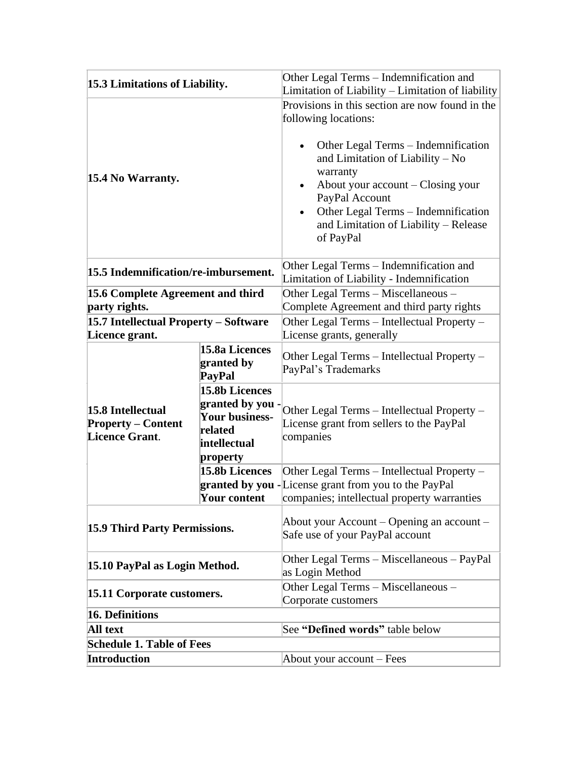| 15.3 Limitations of Liability.                     |                              | Other Legal Terms – Indemnification and<br>Limitation of Liability - Limitation of liability |
|----------------------------------------------------|------------------------------|----------------------------------------------------------------------------------------------|
|                                                    |                              | Provisions in this section are now found in the                                              |
|                                                    |                              | following locations:                                                                         |
|                                                    |                              |                                                                                              |
|                                                    |                              | Other Legal Terms – Indemnification                                                          |
|                                                    |                              | and Limitation of Liability - No                                                             |
| 15.4 No Warranty.                                  |                              | warranty                                                                                     |
|                                                    |                              | About your account – Closing your                                                            |
|                                                    |                              | PayPal Account<br>Other Legal Terms - Indemnification<br>$\bullet$                           |
|                                                    |                              | and Limitation of Liability - Release                                                        |
|                                                    |                              | of PayPal                                                                                    |
|                                                    |                              |                                                                                              |
|                                                    |                              | Other Legal Terms - Indemnification and                                                      |
| 15.5 Indemnification/re-imbursement.               |                              | Limitation of Liability - Indemnification                                                    |
| 15.6 Complete Agreement and third                  |                              | Other Legal Terms - Miscellaneous -                                                          |
| party rights.                                      |                              | Complete Agreement and third party rights                                                    |
| 15.7 Intellectual Property - Software              |                              | Other Legal Terms - Intellectual Property -                                                  |
| Licence grant.                                     |                              | License grants, generally                                                                    |
|                                                    | 15.8a Licences<br>granted by | Other Legal Terms – Intellectual Property –                                                  |
|                                                    | PayPal                       | PayPal's Trademarks                                                                          |
|                                                    | 15.8b Licences               |                                                                                              |
|                                                    | granted by you               |                                                                                              |
| 15.8 Intellectual                                  | <b>Your business-</b>        | Other Legal Terms - Intellectual Property -                                                  |
| <b>Property – Content</b><br><b>Licence Grant.</b> | related                      | License grant from sellers to the PayPal<br>companies                                        |
|                                                    | intellectual                 |                                                                                              |
|                                                    | property                     |                                                                                              |
|                                                    | 15.8b Licences               | Other Legal Terms - Intellectual Property -                                                  |
|                                                    | Your content                 | granted by you -License grant from you to the PayPal                                         |
|                                                    |                              | companies; intellectual property warranties                                                  |
| 15.9 Third Party Permissions.                      |                              | About your Account – Opening an account –                                                    |
|                                                    |                              | Safe use of your PayPal account                                                              |
|                                                    |                              | Other Legal Terms - Miscellaneous - PayPal                                                   |
| 15.10 PayPal as Login Method.                      |                              | as Login Method                                                                              |
|                                                    |                              | Other Legal Terms - Miscellaneous -                                                          |
| 15.11 Corporate customers.                         |                              | Corporate customers                                                                          |
| 16. Definitions                                    |                              |                                                                                              |
| All text                                           |                              | See "Defined words" table below                                                              |
| <b>Schedule 1. Table of Fees</b>                   |                              |                                                                                              |
| <b>Introduction</b>                                |                              | About your account – Fees                                                                    |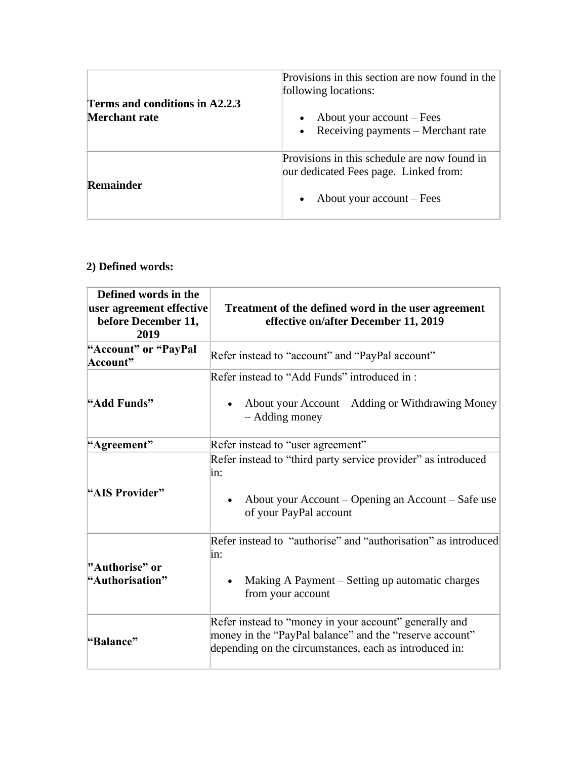| Terms and conditions in A2.2.3<br><b>Merchant rate</b> | Provisions in this section are now found in the<br>following locations:<br>About your account – Fees<br>Receiving payments – Merchant rate |
|--------------------------------------------------------|--------------------------------------------------------------------------------------------------------------------------------------------|
| Remainder                                              | Provisions in this schedule are now found in<br>our dedicated Fees page. Linked from:<br>About your $account - Fees$                       |

## **2) Defined words:**

| Defined words in the<br>user agreement effective<br>before December 11,<br>2019 | Treatment of the defined word in the user agreement<br>effective on/after December 11, 2019                                                                                 |
|---------------------------------------------------------------------------------|-----------------------------------------------------------------------------------------------------------------------------------------------------------------------------|
| "Account" or "PayPal<br>Account"                                                | Refer instead to "account" and "PayPal account"                                                                                                                             |
| "Add Funds"                                                                     | Refer instead to "Add Funds" introduced in:<br>About your Account – Adding or Withdrawing Money<br>- Adding money                                                           |
| "Agreement"                                                                     | Refer instead to "user agreement"                                                                                                                                           |
| "AIS Provider"                                                                  | Refer instead to "third party service provider" as introduced<br>in:<br>About your Account – Opening an Account – Safe use<br>of your PayPal account                        |
| "Authorise" or<br>"Authorisation"                                               | Refer instead to "authorise" and "authorisation" as introduced<br>in:<br>Making A Payment – Setting up automatic charges<br>from your account                               |
| "Balance"                                                                       | Refer instead to "money in your account" generally and<br>money in the "PayPal balance" and the "reserve account"<br>depending on the circumstances, each as introduced in: |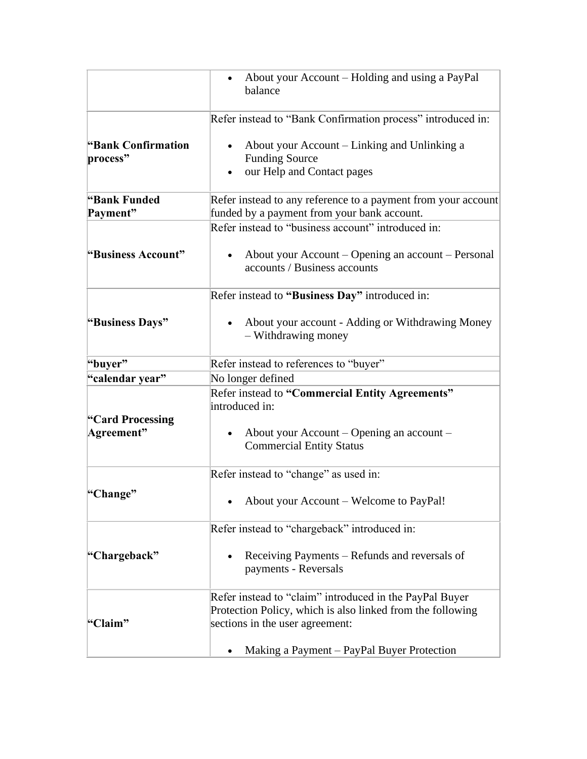|                                | About your Account – Holding and using a PayPal<br>balance                                                                                                                                             |
|--------------------------------|--------------------------------------------------------------------------------------------------------------------------------------------------------------------------------------------------------|
|                                | Refer instead to "Bank Confirmation process" introduced in:                                                                                                                                            |
| "Bank Confirmation<br>process" | About your Account – Linking and Unlinking a<br><b>Funding Source</b><br>our Help and Contact pages                                                                                                    |
| "Bank Funded                   | Refer instead to any reference to a payment from your account                                                                                                                                          |
| Payment"                       | funded by a payment from your bank account.                                                                                                                                                            |
|                                | Refer instead to "business account" introduced in:                                                                                                                                                     |
| "Business Account"             | About your Account – Opening an account – Personal<br>accounts / Business accounts                                                                                                                     |
|                                | Refer instead to "Business Day" introduced in:                                                                                                                                                         |
| "Business Days"                | About your account - Adding or Withdrawing Money<br>- Withdrawing money                                                                                                                                |
| "buyer"                        | Refer instead to references to "buyer"                                                                                                                                                                 |
| "calendar year"                | No longer defined                                                                                                                                                                                      |
| "Card Processing<br>Agreement" | Refer instead to "Commercial Entity Agreements"<br>introduced in:<br>About your Account – Opening an account –<br><b>Commercial Entity Status</b>                                                      |
|                                | Refer instead to "change" as used in:                                                                                                                                                                  |
| "Change"                       | About your Account - Welcome to PayPal!                                                                                                                                                                |
|                                | Refer instead to "chargeback" introduced in:                                                                                                                                                           |
| "Chargeback"                   | Receiving Payments – Refunds and reversals of<br>payments - Reversals                                                                                                                                  |
| "Claim"                        | Refer instead to "claim" introduced in the PayPal Buyer<br>Protection Policy, which is also linked from the following<br>sections in the user agreement:<br>Making a Payment – PayPal Buyer Protection |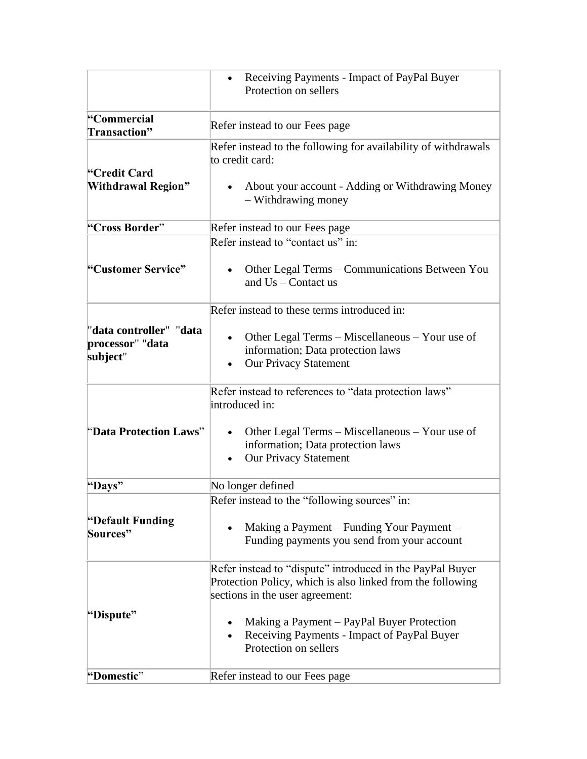|                                                         | Receiving Payments - Impact of PayPal Buyer<br>Protection on sellers                                                                                       |
|---------------------------------------------------------|------------------------------------------------------------------------------------------------------------------------------------------------------------|
| "Commercial<br>Transaction"                             | Refer instead to our Fees page                                                                                                                             |
| "Credit Card                                            | Refer instead to the following for availability of withdrawals<br>to credit card:                                                                          |
| <b>Withdrawal Region"</b>                               | • About your account - Adding or Withdrawing Money<br>- Withdrawing money                                                                                  |
| "Cross Border"                                          | Refer instead to our Fees page                                                                                                                             |
|                                                         | Refer instead to "contact us" in:                                                                                                                          |
| "Customer Service"                                      | Other Legal Terms – Communications Between You<br>and $Us$ – Contact us                                                                                    |
|                                                         | Refer instead to these terms introduced in:                                                                                                                |
| "data controller" "data<br>processor" "data<br>subject" | Other Legal Terms – Miscellaneous – Your use of<br>$\bullet$<br>information; Data protection laws<br><b>Our Privacy Statement</b>                          |
|                                                         | Refer instead to references to "data protection laws"<br>introduced in:                                                                                    |
| "Data Protection Laws"                                  | Other Legal Terms – Miscellaneous – Your use of<br>information; Data protection laws<br><b>Our Privacy Statement</b><br>$\bullet$                          |
| "Days"                                                  | No longer defined                                                                                                                                          |
|                                                         | Refer instead to the "following sources" in:                                                                                                               |
| "Default Funding<br>Sources"                            | Making a Payment – Funding Your Payment –<br>Funding payments you send from your account                                                                   |
|                                                         | Refer instead to "dispute" introduced in the PayPal Buyer<br>Protection Policy, which is also linked from the following<br>sections in the user agreement: |
| "Dispute"                                               | Making a Payment – PayPal Buyer Protection<br>Receiving Payments - Impact of PayPal Buyer<br>Protection on sellers                                         |
| "Domestic"                                              | Refer instead to our Fees page                                                                                                                             |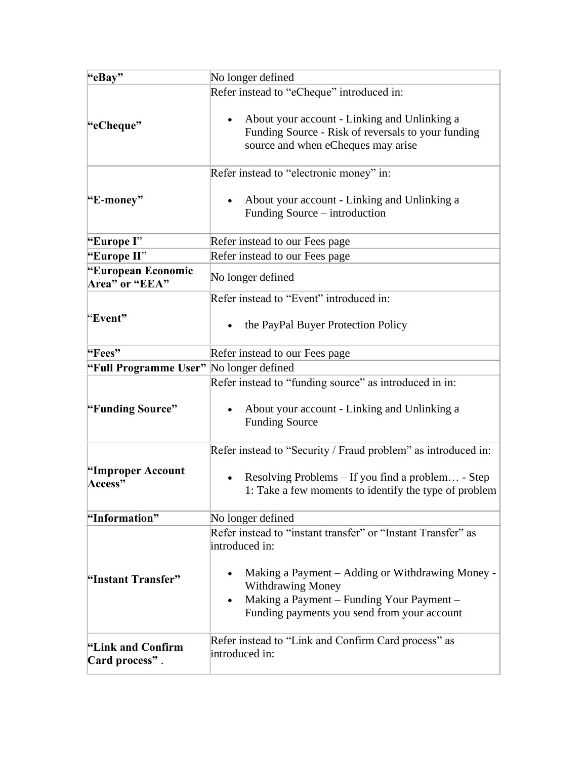| "eBay"                                  | No longer defined                                                                                                                                                                                                                                                       |
|-----------------------------------------|-------------------------------------------------------------------------------------------------------------------------------------------------------------------------------------------------------------------------------------------------------------------------|
|                                         | Refer instead to "eCheque" introduced in:                                                                                                                                                                                                                               |
| "eCheque"                               | About your account - Linking and Unlinking a<br>Funding Source - Risk of reversals to your funding<br>source and when eCheques may arise                                                                                                                                |
|                                         | Refer instead to "electronic money" in:                                                                                                                                                                                                                                 |
| "E-money"                               | About your account - Linking and Unlinking a<br>Funding Source - introduction                                                                                                                                                                                           |
| "Europe I"                              | Refer instead to our Fees page                                                                                                                                                                                                                                          |
| "Europe II"                             | Refer instead to our Fees page                                                                                                                                                                                                                                          |
| "European Economic<br>Area" or "EEA"    | No longer defined                                                                                                                                                                                                                                                       |
|                                         | Refer instead to "Event" introduced in:                                                                                                                                                                                                                                 |
| "Event"                                 | the PayPal Buyer Protection Policy                                                                                                                                                                                                                                      |
| "Fees"                                  | Refer instead to our Fees page                                                                                                                                                                                                                                          |
| "Full Programme User" No longer defined |                                                                                                                                                                                                                                                                         |
| "Funding Source"                        | Refer instead to "funding source" as introduced in in:<br>About your account - Linking and Unlinking a<br><b>Funding Source</b>                                                                                                                                         |
|                                         | Refer instead to "Security / Fraud problem" as introduced in:                                                                                                                                                                                                           |
| "Improper Account<br>Access"            | Resolving Problems $-$ If you find a problem - Step<br>1: Take a few moments to identify the type of problem                                                                                                                                                            |
| "Information"                           | No longer defined                                                                                                                                                                                                                                                       |
| "Instant Transfer"                      | Refer instead to "instant transfer" or "Instant Transfer" as<br>introduced in:<br>Making a Payment – Adding or Withdrawing Money -<br>$\bullet$<br><b>Withdrawing Money</b><br>Making a Payment - Funding Your Payment -<br>Funding payments you send from your account |
| "Link and Confirm<br>Card process".     | Refer instead to "Link and Confirm Card process" as<br>introduced in:                                                                                                                                                                                                   |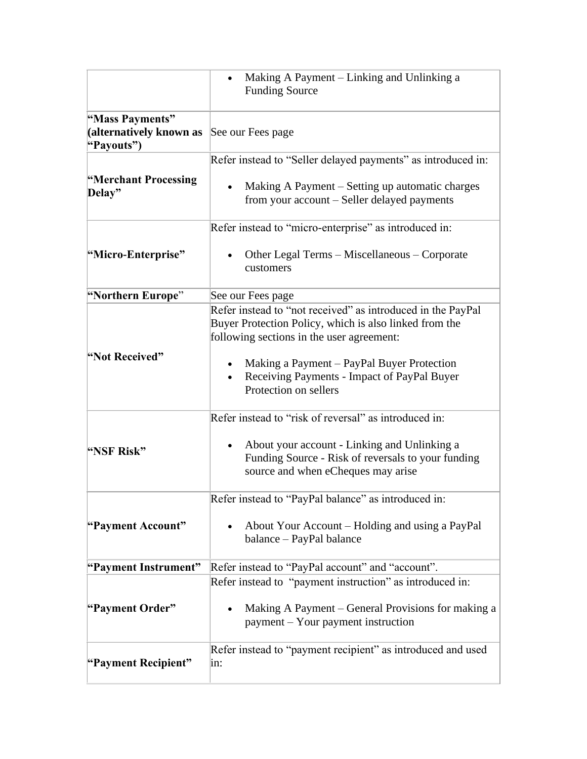|                                                          | Making A Payment – Linking and Unlinking a<br><b>Funding Source</b>                                                                                                |
|----------------------------------------------------------|--------------------------------------------------------------------------------------------------------------------------------------------------------------------|
| "Mass Payments"<br>(alternatively known as<br>"Payouts") | See our Fees page                                                                                                                                                  |
|                                                          | Refer instead to "Seller delayed payments" as introduced in:                                                                                                       |
| "Merchant Processing<br>Delay"                           | Making A Payment – Setting up automatic charges<br>from your account - Seller delayed payments                                                                     |
|                                                          | Refer instead to "micro-enterprise" as introduced in:                                                                                                              |
| "Micro-Enterprise"                                       | Other Legal Terms – Miscellaneous – Corporate<br>customers                                                                                                         |
| "Northern Europe"                                        | See our Fees page                                                                                                                                                  |
|                                                          | Refer instead to "not received" as introduced in the PayPal<br>Buyer Protection Policy, which is also linked from the<br>following sections in the user agreement: |
| "Not Received"                                           | Making a Payment – PayPal Buyer Protection<br>Receiving Payments - Impact of PayPal Buyer<br>Protection on sellers                                                 |
|                                                          | Refer instead to "risk of reversal" as introduced in:                                                                                                              |
| "NSF Risk"                                               | About your account - Linking and Unlinking a<br>Funding Source - Risk of reversals to your funding<br>source and when eCheques may arise                           |
|                                                          | Refer instead to "PayPal balance" as introduced in:                                                                                                                |
| "Payment Account"                                        | About Your Account – Holding and using a PayPal<br>balance – PayPal balance                                                                                        |
| "Payment Instrument"                                     | Refer instead to "PayPal account" and "account".                                                                                                                   |
|                                                          | Refer instead to "payment instruction" as introduced in:                                                                                                           |
| "Payment Order"                                          | Making A Payment – General Provisions for making a<br>payment – Your payment instruction                                                                           |
| "Payment Recipient"                                      | Refer instead to "payment recipient" as introduced and used<br>in:                                                                                                 |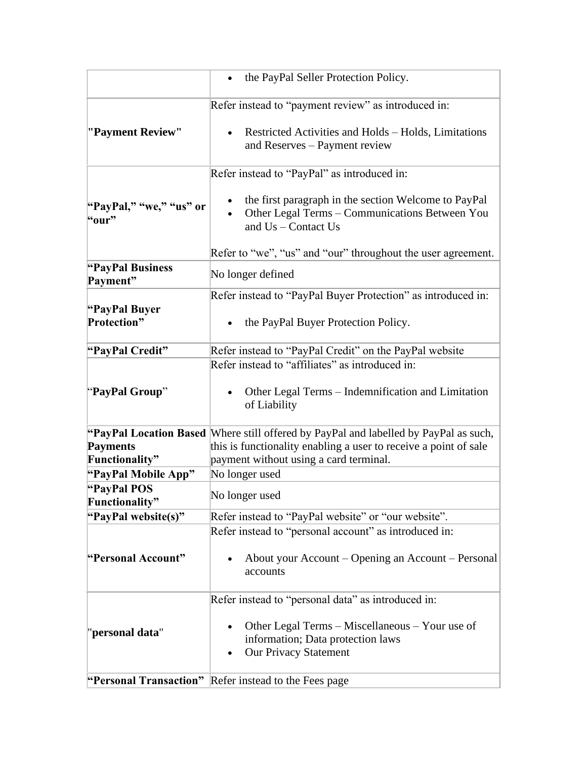|                                       | the PayPal Seller Protection Policy.                                                                                                                     |
|---------------------------------------|----------------------------------------------------------------------------------------------------------------------------------------------------------|
|                                       | Refer instead to "payment review" as introduced in:                                                                                                      |
| "Payment Review"                      | Restricted Activities and Holds - Holds, Limitations<br>and Reserves - Payment review                                                                    |
|                                       | Refer instead to "PayPal" as introduced in:                                                                                                              |
| "PayPal," "we," "us" or<br>"our"      | the first paragraph in the section Welcome to PayPal<br>Other Legal Terms - Communications Between You<br>and Us - Contact Us                            |
|                                       | Refer to "we", "us" and "our" throughout the user agreement.                                                                                             |
| "PayPal Business<br>Payment"          | No longer defined                                                                                                                                        |
|                                       | Refer instead to "PayPal Buyer Protection" as introduced in:                                                                                             |
| "PayPal Buyer"<br><b>Protection</b> " | the PayPal Buyer Protection Policy.                                                                                                                      |
| "PayPal Credit"                       | Refer instead to "PayPal Credit" on the PayPal website                                                                                                   |
| "PayPal Group"                        | Refer instead to "affiliates" as introduced in:<br>Other Legal Terms – Indemnification and Limitation<br>of Liability                                    |
| <b>Payments</b>                       | "PayPal Location Based Where still offered by PayPal and labelled by PayPal as such,<br>this is functionality enabling a user to receive a point of sale |
| Functionality"<br>"PayPal Mobile App" | payment without using a card terminal.<br>No longer used                                                                                                 |
| "PayPal POS<br>Functionality"         | No longer used                                                                                                                                           |
| "PayPal website(s)"                   | Refer instead to "PayPal website" or "our website".                                                                                                      |
| "Personal Account"                    | Refer instead to "personal account" as introduced in:<br>About your Account – Opening an Account – Personal<br>accounts                                  |
|                                       | Refer instead to "personal data" as introduced in:                                                                                                       |
| "personal data"                       | Other Legal Terms – Miscellaneous – Your use of<br>information; Data protection laws<br><b>Our Privacy Statement</b><br>٠                                |
| "Personal Transaction"                | Refer instead to the Fees page                                                                                                                           |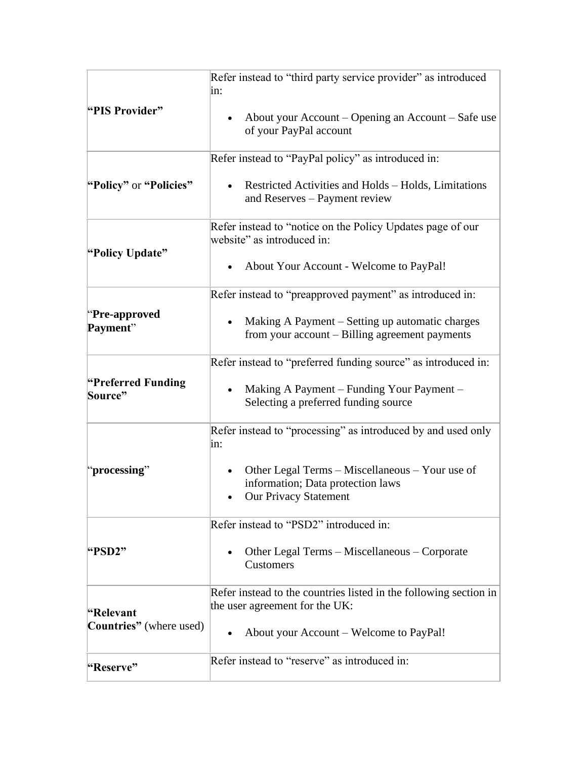|                                              | Refer instead to "third party service provider" as introduced<br>in:                                                              |
|----------------------------------------------|-----------------------------------------------------------------------------------------------------------------------------------|
| "PIS Provider"                               | About your Account – Opening an Account – Safe use<br>$\bullet$<br>of your PayPal account                                         |
|                                              | Refer instead to "PayPal policy" as introduced in:                                                                                |
| "Policy" or "Policies"                       | Restricted Activities and Holds – Holds, Limitations<br>and Reserves - Payment review                                             |
| "Policy Update"                              | Refer instead to "notice on the Policy Updates page of our<br>website" as introduced in:                                          |
|                                              | About Your Account - Welcome to PayPal!<br>$\bullet$                                                                              |
|                                              | Refer instead to "preapproved payment" as introduced in:                                                                          |
| "Pre-approved"<br>Payment"                   | Making A Payment – Setting up automatic charges<br>from your account – Billing agreement payments                                 |
|                                              | Refer instead to "preferred funding source" as introduced in:                                                                     |
| "Preferred Funding"<br>Source"               | Making A Payment – Funding Your Payment –<br>Selecting a preferred funding source                                                 |
|                                              | Refer instead to "processing" as introduced by and used only<br>in:                                                               |
| "processing"                                 | Other Legal Terms – Miscellaneous – Your use of<br>$\bullet$<br>information; Data protection laws<br><b>Our Privacy Statement</b> |
|                                              | Refer instead to "PSD2" introduced in:                                                                                            |
| "PSD2"                                       | Other Legal Terms - Miscellaneous - Corporate<br>Customers                                                                        |
| "Relevant<br><b>Countries</b> " (where used) | Refer instead to the countries listed in the following section in<br>the user agreement for the UK:                               |
|                                              | About your Account – Welcome to PayPal!                                                                                           |
| "Reserve"                                    | Refer instead to "reserve" as introduced in:                                                                                      |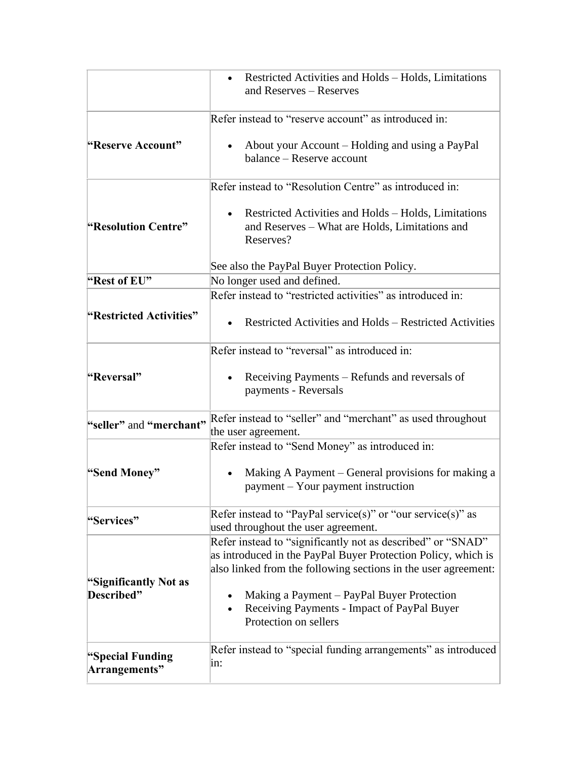|                                     | Restricted Activities and Holds – Holds, Limitations<br>and Reserves - Reserves                                                                                                                                                                                                                                      |
|-------------------------------------|----------------------------------------------------------------------------------------------------------------------------------------------------------------------------------------------------------------------------------------------------------------------------------------------------------------------|
|                                     | Refer instead to "reserve account" as introduced in:                                                                                                                                                                                                                                                                 |
| "Reserve Account"                   | About your Account – Holding and using a PayPal<br>balance - Reserve account                                                                                                                                                                                                                                         |
|                                     | Refer instead to "Resolution Centre" as introduced in:                                                                                                                                                                                                                                                               |
| "Resolution Centre"                 | Restricted Activities and Holds – Holds, Limitations<br>and Reserves – What are Holds, Limitations and<br>Reserves?                                                                                                                                                                                                  |
|                                     | See also the PayPal Buyer Protection Policy.                                                                                                                                                                                                                                                                         |
| "Rest of EU"                        | No longer used and defined.                                                                                                                                                                                                                                                                                          |
|                                     | Refer instead to "restricted activities" as introduced in:                                                                                                                                                                                                                                                           |
| "Restricted Activities"             | Restricted Activities and Holds – Restricted Activities                                                                                                                                                                                                                                                              |
|                                     | Refer instead to "reversal" as introduced in:                                                                                                                                                                                                                                                                        |
| "Reversal"                          | Receiving Payments – Refunds and reversals of<br>payments - Reversals                                                                                                                                                                                                                                                |
| "seller" and "merchant"             | Refer instead to "seller" and "merchant" as used throughout<br>the user agreement.                                                                                                                                                                                                                                   |
|                                     | Refer instead to "Send Money" as introduced in:                                                                                                                                                                                                                                                                      |
| "Send Money"                        | Making A Payment – General provisions for making a<br>payment – Your payment instruction                                                                                                                                                                                                                             |
| "Services"                          | Refer instead to "PayPal service(s)" or "our service(s)" as<br>used throughout the user agreement.                                                                                                                                                                                                                   |
| "Significantly Not as<br>Described" | Refer instead to "significantly not as described" or "SNAD"<br>as introduced in the PayPal Buyer Protection Policy, which is<br>also linked from the following sections in the user agreement:<br>Making a Payment – PayPal Buyer Protection<br>Receiving Payments - Impact of PayPal Buyer<br>Protection on sellers |
| "Special Funding<br>Arrangements"   | Refer instead to "special funding arrangements" as introduced<br>in:                                                                                                                                                                                                                                                 |